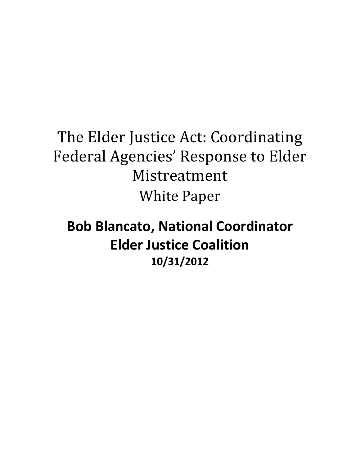# The Elder Justice Act: Coordinating Federal Agencies' Response to Elder Mistreatment

White Paper

## **Bob Blancato, National Coordinator Elder Justice Coalition 10/31/2012**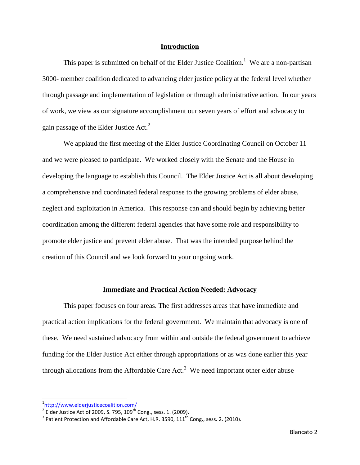#### **Introduction**

This paper is submitted on behalf of the Elder Justice Coalition.<sup>1</sup> We are a non-partisan 3000- member coalition dedicated to advancing elder justice policy at the federal level whether through passage and implementation of legislation or through administrative action. In our years of work, we view as our signature accomplishment our seven years of effort and advocacy to gain passage of the Elder Justice Act.<sup>2</sup>

 We applaud the first meeting of the Elder Justice Coordinating Council on October 11 and we were pleased to participate. We worked closely with the Senate and the House in developing the language to establish this Council. The Elder Justice Act is all about developing a comprehensive and coordinated federal response to the growing problems of elder abuse, neglect and exploitation in America. This response can and should begin by achieving better coordination among the different federal agencies that have some role and responsibility to promote elder justice and prevent elder abuse. That was the intended purpose behind the creation of this Council and we look forward to your ongoing work.

#### **Immediate and Practical Action Needed: Advocacy**

 This paper focuses on four areas. The first addresses areas that have immediate and practical action implications for the federal government. We maintain that advocacy is one of these. We need sustained advocacy from within and outside the federal government to achieve funding for the Elder Justice Act either through appropriations or as was done earlier this year through allocations from the Affordable Care Act.<sup>3</sup> We need important other elder abuse

<sup>-&</sup>lt;br><sup>1</sup><u><http://www.elderjusticecoalition.com/></u><br><sup>2</sup> Elder Justice Act of 2009, S. 795, 109<sup>th</sup> Cong., sess. 1. (2009).

 $^3$  Patient Protection and Affordable Care Act, H.R. 3590, 111<sup>th</sup> Cong., sess. 2. (2010).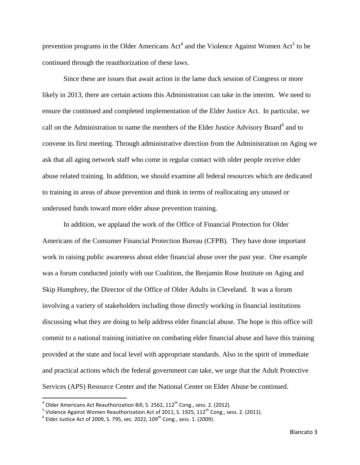prevention programs in the Older Americans  $Act^4$  and the Violence Against Women  $Act^5$  to be continued through the reauthorization of these laws.

Since these are issues that await action in the lame duck session of Congress or more likely in 2013, there are certain actions this Administration can take in the interim. We need to ensure the continued and completed implementation of the Elder Justice Act. In particular, we call on the Administration to name the members of the Elder Justice Advisory Board<sup>6</sup> and to convene its first meeting. Through administrative direction from the Administration on Aging we ask that all aging network staff who come in regular contact with older people receive elder abuse related training. In addition, we should examine all federal resources which are dedicated to training in areas of abuse prevention and think in terms of reallocating any unused or underused funds toward more elder abuse prevention training.

In addition, we applaud the work of the Office of Financial Protection for Older Americans of the Consumer Financial Protection Bureau (CFPB). They have done important work in raising public awareness about elder financial abuse over the past year. One example was a forum conducted jointly with our Coalition, the Benjamin Rose Institute on Aging and Skip Humphrey, the Director of the Office of Older Adults in Cleveland. It was a forum involving a variety of stakeholders including those directly working in financial institutions discussing what they are doing to help address elder financial abuse. The hope is this office will commit to a national training initiative on combating elder financial abuse and have this training provided at the state and local level with appropriate standards. Also in the spirit of immediate and practical actions which the federal government can take, we urge that the Adult Protective Services (APS) Resource Center and the National Center on Elder Abuse be continued.

and and the Mericans Act Reauthorization Bill, S. 2562, 112<sup>th</sup> Cong., sess. 2. (2012).<br><sup>4</sup> Older Americans Act Reauthorization Bill, S. 2562, 112<sup>th</sup> Cong., sess. 2. (2012).

<sup>&</sup>lt;sup>5</sup> Violence Against Women Reauthorization Act of 2011, S. 1925, 112<sup>th</sup> Cong., sess. 2. (2011).

 $^6$  Elder Justice Act of 2009, S. 795, sec. 2022, 109 $^{\rm th}$  Cong., sess. 1. (2009).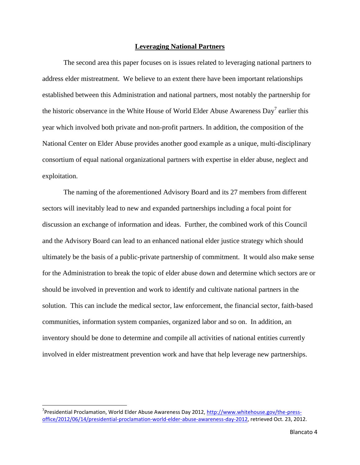#### **Leveraging National Partners**

The second area this paper focuses on is issues related to leveraging national partners to address elder mistreatment. We believe to an extent there have been important relationships established between this Administration and national partners, most notably the partnership for the historic observance in the White House of World Elder Abuse Awareness Day<sup>7</sup> earlier this year which involved both private and non-profit partners. In addition, the composition of the National Center on Elder Abuse provides another good example as a unique, multi-disciplinary consortium of equal national organizational partners with expertise in elder abuse, neglect and exploitation.

The naming of the aforementioned Advisory Board and its 27 members from different sectors will inevitably lead to new and expanded partnerships including a focal point for discussion an exchange of information and ideas. Further, the combined work of this Council and the Advisory Board can lead to an enhanced national elder justice strategy which should ultimately be the basis of a public-private partnership of commitment. It would also make sense for the Administration to break the topic of elder abuse down and determine which sectors are or should be involved in prevention and work to identify and cultivate national partners in the solution. This can include the medical sector, law enforcement, the financial sector, faith-based communities, information system companies, organized labor and so on. In addition, an inventory should be done to determine and compile all activities of national entities currently involved in elder mistreatment prevention work and have that help leverage new partnerships.

l

<sup>&</sup>lt;sup>7</sup> Presidential Proclamation, World Elder Abuse Awareness Day 2012, [http://www.whitehouse.gov/the-press](http://www.whitehouse.gov/the-press-office/2012/06/14/presidential-proclamation-world-elder-abuse-awareness-day-2012)[office/2012/06/14/presidential-proclamation-world-elder-abuse-awareness-day-2012,](http://www.whitehouse.gov/the-press-office/2012/06/14/presidential-proclamation-world-elder-abuse-awareness-day-2012) retrieved Oct. 23, 2012.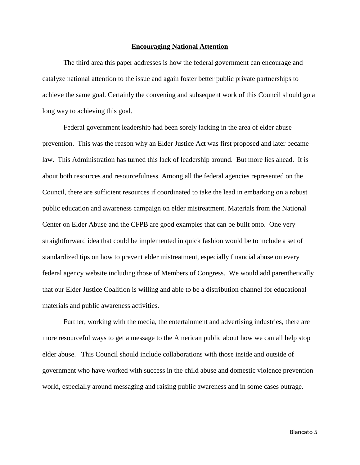#### **Encouraging National Attention**

The third area this paper addresses is how the federal government can encourage and catalyze national attention to the issue and again foster better public private partnerships to achieve the same goal. Certainly the convening and subsequent work of this Council should go a long way to achieving this goal.

Federal government leadership had been sorely lacking in the area of elder abuse prevention. This was the reason why an Elder Justice Act was first proposed and later became law. This Administration has turned this lack of leadership around. But more lies ahead. It is about both resources and resourcefulness. Among all the federal agencies represented on the Council, there are sufficient resources if coordinated to take the lead in embarking on a robust public education and awareness campaign on elder mistreatment. Materials from the National Center on Elder Abuse and the CFPB are good examples that can be built onto. One very straightforward idea that could be implemented in quick fashion would be to include a set of standardized tips on how to prevent elder mistreatment, especially financial abuse on every federal agency website including those of Members of Congress. We would add parenthetically that our Elder Justice Coalition is willing and able to be a distribution channel for educational materials and public awareness activities.

Further, working with the media, the entertainment and advertising industries, there are more resourceful ways to get a message to the American public about how we can all help stop elder abuse. This Council should include collaborations with those inside and outside of government who have worked with success in the child abuse and domestic violence prevention world, especially around messaging and raising public awareness and in some cases outrage.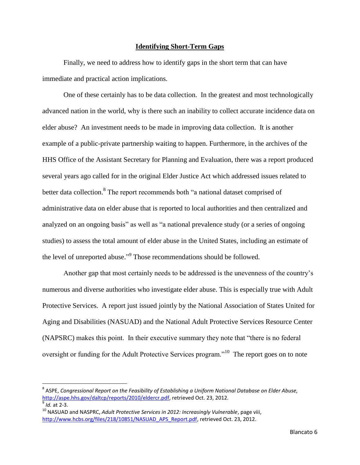#### **Identifying Short-Term Gaps**

Finally, we need to address how to identify gaps in the short term that can have immediate and practical action implications.

One of these certainly has to be data collection. In the greatest and most technologically advanced nation in the world, why is there such an inability to collect accurate incidence data on elder abuse? An investment needs to be made in improving data collection. It is another example of a public-private partnership waiting to happen. Furthermore, in the archives of the HHS Office of the Assistant Secretary for Planning and Evaluation, there was a report produced several years ago called for in the original Elder Justice Act which addressed issues related to better data collection.<sup>8</sup> The report recommends both "a national dataset comprised of administrative data on elder abuse that is reported to local authorities and then centralized and analyzed on an ongoing basis" as well as "a national prevalence study (or a series of ongoing studies) to assess the total amount of elder abuse in the United States, including an estimate of the level of unreported abuse."<sup>9</sup> Those recommendations should be followed.

Another gap that most certainly needs to be addressed is the unevenness of the country's numerous and diverse authorities who investigate elder abuse. This is especially true with Adult Protective Services. A report just issued jointly by the National Association of States United for Aging and Disabilities (NASUAD) and the National Adult Protective Services Resource Center (NAPSRC) makes this point. In their executive summary they note that "there is no federal oversight or funding for the Adult Protective Services program."<sup>10</sup> The report goes on to note

l

 $^{\rm 8}$  ASPE, Congressional Report on the Feasibility of Establishing a Uniform National Database on Elder Abuse, [http://aspe.hhs.gov/daltcp/reports/2010/eldercr.pdf,](http://aspe.hhs.gov/daltcp/reports/2010/eldercr.pdf) retrieved Oct. 23, 2012. 9 *Id.* at 2-3.

<sup>&</sup>lt;sup>10</sup> NASUAD and NASPRC, *Adult Protective Services in 2012: Increasingly Vulnerable*, page viii, [http://www.hcbs.org/files/218/10851/NASUAD\\_APS\\_Report.pdf,](http://www.hcbs.org/files/218/10851/NASUAD_APS_Report.pdf) retrieved Oct. 23, 2012.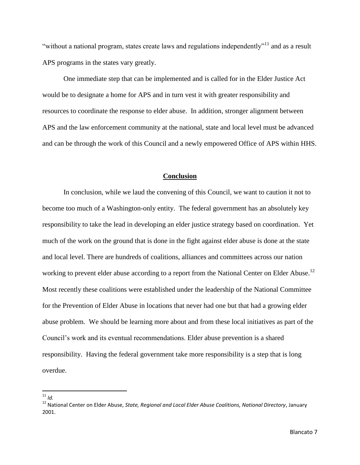"without a national program, states create laws and regulations independently"<sup>11</sup> and as a result APS programs in the states vary greatly.

One immediate step that can be implemented and is called for in the Elder Justice Act would be to designate a home for APS and in turn vest it with greater responsibility and resources to coordinate the response to elder abuse. In addition, stronger alignment between APS and the law enforcement community at the national, state and local level must be advanced and can be through the work of this Council and a newly empowered Office of APS within HHS.

#### **Conclusion**

In conclusion, while we laud the convening of this Council, we want to caution it not to become too much of a Washington-only entity. The federal government has an absolutely key responsibility to take the lead in developing an elder justice strategy based on coordination. Yet much of the work on the ground that is done in the fight against elder abuse is done at the state and local level. There are hundreds of coalitions, alliances and committees across our nation working to prevent elder abuse according to a report from the National Center on Elder Abuse.<sup>12</sup> Most recently these coalitions were established under the leadership of the National Committee for the Prevention of Elder Abuse in locations that never had one but that had a growing elder abuse problem. We should be learning more about and from these local initiatives as part of the Council's work and its eventual recommendations. Elder abuse prevention is a shared responsibility. Having the federal government take more responsibility is a step that is long overdue.

 $\overline{a}$ <sup>11</sup> *Id.*

<sup>12</sup> National Center on Elder Abuse, *State, Regional and Local Elder Abuse Coalitions, National Directory*, January 2001.